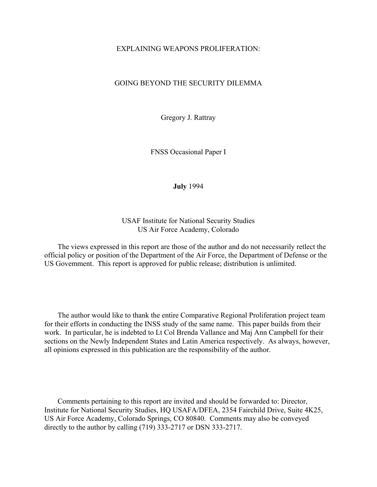#### EXPLAINING WEAPONS PROLIFERATION:

#### GOING BEYOND THE SECURITY DILEMMA

Gregory J. Rattray

FNSS Occasional Paper I

**July** 1994

USAF Institute for National Security Studies US Air Force Academy, Colorado

The views expressed in this report are those of the author and do not necessarily retlect the official policy or position of the Department of the Air Force, the Department of Defense or the US Govemment. This report is approved for public release; distribution is unlimited.

The author would like to thank the entire Comparative Regional Proliferation project team for their efforts in conducting the INSS study of the same name. This paper builds from their work. In particular, he is indebted to Lt Col Brenda Vallance and Maj Ann Campbell for their sections on the Newly Independent States and Latin America respectively. As always, however, all opinions expressed in this publication are the responsibility of the author.

Comments pertaining to this report are invited and should be forwarded to: Director, Institute for National Security Studies, HQ USAFA/DFEA, 2354 Fairchild Drive, Suite 4K25, US Air Force Academy, Colorado Springs, CO 80840. Comments may also be conveyed directly to the author by calling (719) 333-2717 or DSN 333-2717.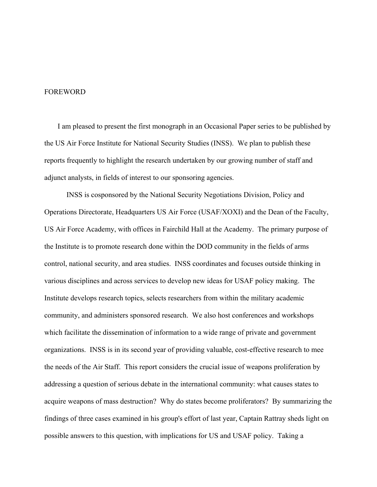#### FOREWORD

I am pleased to present the first monograph in an Occasional Paper series to be published by the US Air Force Institute for National Security Studies (INSS). We plan to publish these reports frequently to highlight the research undertaken by our growing number of staff and adjunct analysts, in fields of interest to our sponsoring agencies.

 INSS is cosponsored by the National Security Negotiations Division, Policy and Operations Directorate, Headquarters US Air Force (USAF/XOXI) and the Dean of the Faculty, US Air Force Academy, with offices in Fairchild Hall at the Academy. The primary purpose of the Institute is to promote research done within the DOD community in the fields of arms control, national security, and area studies. INSS coordinates and focuses outside thinking in various disciplines and across services to develop new ideas for USAF policy making. The Institute develops research topics, selects researchers from within the military academic community, and administers sponsored research. We also host conferences and workshops which facilitate the dissemination of information to a wide range of private and government organizations. INSS is in its second year of providing valuable, cost-effective research to mee the needs of the Air Staff. This report considers the crucial issue of weapons proliferation by addressing a question of serious debate in the international community: what causes states to acquire weapons of mass destruction? Why do states become proliferators? By summarizing the findings of three cases examined in his group's effort of last year, Captain Rattray sheds light on possible answers to this question, with implications for US and USAF policy. Taking a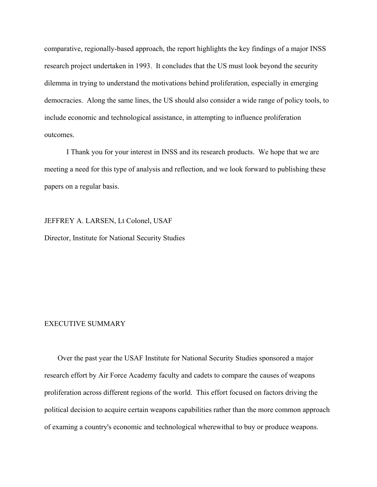comparative, regionally-based approach, the report highlights the key findings of a major INSS research project undertaken in 1993. It concludes that the US must look beyond the security dilemma in trying to understand the motivations behind proliferation, especially in emerging democracies. Along the same lines, the US should also consider a wide range of policy tools, to include economic and technological assistance, in attempting to influence proliferation outcomes.

 I Thank you for your interest in INSS and its research products. We hope that we are meeting a need for this type of analysis and reflection, and we look forward to publishing these papers on a regular basis.

JEFFREY A. LARSEN, Lt Colonel, USAF Director, Institute for National Security Studies

### EXECUTIVE SUMMARY

Over the past year the USAF Institute for National Security Studies sponsored a major research effort by Air Force Academy faculty and cadets to compare the causes of weapons proliferation across different regions of the world. This effort focused on factors driving the political decision to acquire certain weapons capabilities rather than the more common approach of examing a country's economic and technological wherewithal to buy or produce weapons.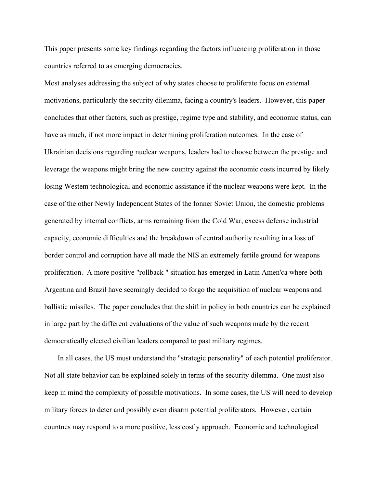This paper presents some key findings regarding the factors influencing proliferation in those countries referred to as emerging democracies.

Most analyses addressing the subject of why states choose to proliferate focus on extemal motivations, particularly the security dilemma, facing a country's leaders. However, this paper concludes that other factors, such as prestige, regime type and stability, and economic status, can have as much, if not more impact in determining proliferation outcomes. In the case of Ukrainian decisions regarding nuclear weapons, leaders had to choose between the prestige and leverage the weapons might bring the new country against the economic costs incurred by likely losing Westem technological and economic assistance if the nuclear weapons were kept. In the case of the other Newly Independent States of the fonner Soviet Union, the domestic problems generated by intemal conflicts, arms remaining from the Cold War, excess defense industrial capacity, economic difficulties and the breakdown of central authority resulting in a loss of border control and corruption have all made the NIS an extremely fertile ground for weapons proliferation. A more positive "rollback " situation has emerged in Latin Amen'ca where both Argcntina and Brazil have seemingly decided to forgo the acquisition of nuclear weapons and ballistic missiles. The paper concludes that the shift in policy in both countries can be explained in large part by the different evaluations of the value of such weapons made by the recent democratically elected civilian leaders compared to past military regimes.

In all cases, the US must understand the "strategic personality" of each potential proliferator. Not all state behavior can be explained solely in terms of the security dilemma. One must also keep in mind the complexity of possible motivations. In some cases, the US will need to develop military forces to deter and possibly even disarm potential proliferators. However, certain countnes may respond to a more positive, less costly approach. Economic and technological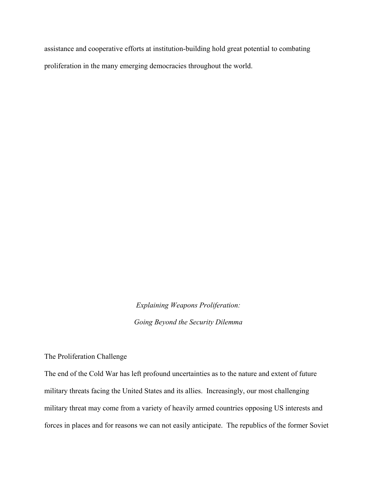assistance and cooperative efforts at institution-building hold great potential to combating proliferation in the many emerging democracies throughout the world.

> *Explaining Weapons Proliferation: Going Beyond the Security Dilemma*

The Proliferation Challenge

The end of the Cold War has left profound uncertainties as to the nature and extent of future military threats facing the United States and its allies. Increasingly, our most challenging military threat may come from a variety of heavily armed countries opposing US interests and forces in places and for reasons we can not easily anticipate. The republics of the former Soviet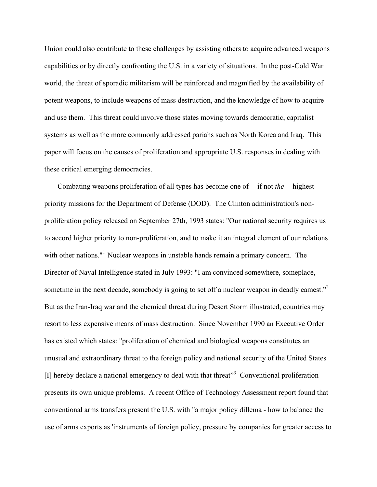Union could also contribute to these challenges by assisting others to acquire advanced weapons capabilities or by directly confronting the U.S. in a variety of situations. In the post-Cold War world, the threat of sporadic militarism will be reinforced and magm'fied by the availability of potent weapons, to include weapons of mass destruction, and the knowledge of how to acquire and use them. This threat could involve those states moving towards democratic, capitalist systems as well as the more commonly addressed pariahs such as North Korea and Iraq. This paper will focus on the causes of proliferation and appropriate U.S. responses in dealing with these critical emerging democracies.

Combating weapons proliferation of all types has become one of -- if not *the --* highest priority missions for the Department of Defense (DOD). The Clinton administration's nonproliferation policy released on September 27th, 1993 states: "Our national security requires us to accord higher priority to non-proliferation, and to make it an integral element of our relations with other nations."<sup>1</sup> Nuclear weapons in unstable hands remain a primary concern. The Director of Naval Intelligence stated in July 1993: "I am convinced somewhere, someplace, sometime in the next decade, somebody is going to set off a nuclear weapon in deadly eamest."<sup>2</sup> But as the Iran-Iraq war and the chemical threat during Desert Storm illustrated, countries may resort to less expensive means of mass destruction. Since November 1990 an Executive Order has existed which states: "proliferation of chemical and biological weapons constitutes an unusual and extraordinary threat to the foreign policy and national security of the United States [I] hereby declare a national emergency to deal with that threat"<sup>3</sup> Conventional proliferation presents its own unique problems. A recent Office of Technology Assessment report found that conventional arms transfers present the U.S. with "a major policy dillema - how to balance the use of arms exports as 'instruments of foreign policy, pressure by companies for greater access to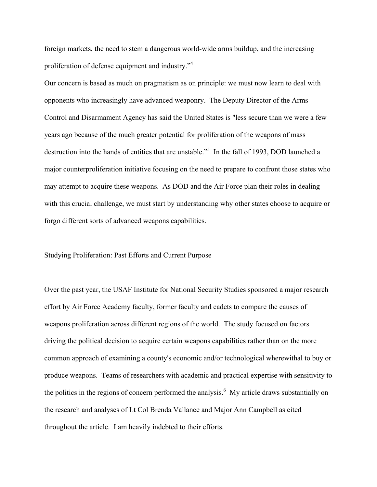foreign markets, the need to stem a dangerous world-wide arms buildup, and the increasing proliferation of defense equipment and industry."4

Our concern is based as much on pragmatism as on principle: we must now learn to deal with opponents who increasingly have advanced weaponry. The Deputy Director of the Arms Control and Disarmament Agency has said the United States is "less secure than we were a few years ago because of the much greater potential for proliferation of the weapons of mass destruction into the hands of entities that are unstable."5 In the fall of 1993, DOD launched a major counterproliferation initiative focusing on the need to prepare to confront those states who may attempt to acquire these weapons. As DOD and the Air Force plan their roles in dealing with this crucial challenge, we must start by understanding why other states choose to acquire or forgo different sorts of advanced weapons capabilities.

#### Studying Proliferation: Past Efforts and Current Purpose

Over the past year, the USAF Institute for National Security Studies sponsored a major research effort by Air Force Academy faculty, former faculty and cadets to compare the causes of weapons proliferation across different regions of the world. The study focused on factors driving the political decision to acquire certain weapons capabilities rather than on the more common approach of examining a county's economic and/or technological wherewithal to buy or produce weapons. Teams of researchers with academic and practical expertise with sensitivity to the politics in the regions of concern performed the analysis.<sup>6</sup> My article draws substantially on the research and analyses of Lt Col Brenda Vallance and Major Ann Campbell as cited throughout the article. I am heavily indebted to their efforts.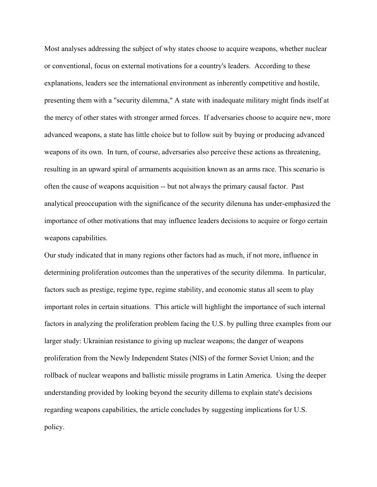Most analyses addressing the subject of why states choose to acquire weapons, whether nuclear or conventional, focus on external motivations for a country's leaders. According to these explanations, leaders see the international environment as inherently competitive and hostile, presenting them with a "security dilemma," A state with inadequate military might finds itself at the mercy of other states with stronger armed forces. If adversaries choose to acquire new, more advanced weapons, a state has little choice but to follow suit by buying or producing advanced weapons of its own. In turn, of course, adversaries also perceive these actions as threatening, resulting in an upward spiral of armaments acquisition known as an arms race. This scenario is often the cause of weapons acquisition -- but not always the primary causal factor. Past analytical preoccupation with the significance of the security dilenuna has under-emphasized the importance of other motivations that may influence leaders decisions to acquire or forgo certain weapons capabilities.

Our study indicated that in many regions other factors had as much, if not more, influence in determining proliferation outcomes than the unperatives of the security dilemma. In particular, factors such as prestige, regime type, regime stability, and economic status all seem to play important roles in certain situations. T'his article will highlight the importance of such internal factors in analyzing the proliferation problem facing the U.S. by pulling three examples from our larger study: Ukrainian resistance to giving up nuclear weapons; the danger of weapons proliferation from the Newly Independent States (NIS) of the former Soviet Union; and the rollback of nuclear weapons and ballistic missile programs in Latin America. Using the deeper understanding provided by looking beyond the security dillema to explain state's decisions regarding weapons capabilities, the article concludes by suggesting implications for U.S. policy.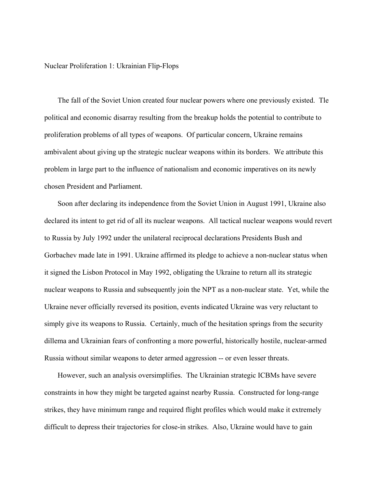Nuclear Proliferation 1: Ukrainian Flip-Flops

The fall of the Soviet Union created four nuclear powers where one previously existed. Tle political and economic disarray resulting from the breakup holds the potential to contribute to proliferation problems of all types of weapons. Of particular concern, Ukraine remains ambivalent about giving up the strategic nuclear weapons within its borders. We attribute this problem in large part to the influence of nationalism and economic imperatives on its newly chosen President and Parliament.

Soon after declaring its independence from the Soviet Union in August 1991, Ukraine also declared its intent to get rid of all its nuclear weapons. All tactical nuclear weapons would revert to Russia by July 1992 under the unilateral reciprocal declarations Presidents Bush and Gorbachev made late in 1991. Ukraine affirmed its pledge to achieve a non-nuclear status when it signed the Lisbon Protocol in May 1992, obligating the Ukraine to return all its strategic nuclear weapons to Russia and subsequently join the NPT as a non-nuclear state. Yet, while the Ukraine never officially reversed its position, events indicated Ukraine was very reluctant to simply give its weapons to Russia. Certainly, much of the hesitation springs from the security dillema and Ukrainian fears of confronting a more powerful, historically hostile, nuclear-armed Russia without similar weapons to deter armed aggression -- or even lesser threats.

However, such an analysis oversimplifies. The Ukrainian strategic ICBMs have severe constraints in how they might be targeted against nearby Russia. Constructed for long-range strikes, they have minimum range and required flight profiles which would make it extremely difficult to depress their trajectories for close-in strikes. Also, Ukraine would have to gain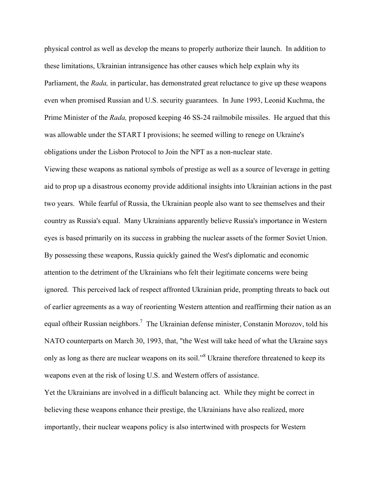physical control as well as develop the means to properly authorize their launch. In addition to these limitations, Ukrainian intransigence has other causes which help explain why its Parliament, the *Rada,* in particular, has demonstrated great reluctance to give up these weapons even when promised Russian and U.S. security guarantees. In June 1993, Leonid Kuchma, the Prime Minister of the *Rada,* proposed keeping 46 SS-24 railmobile missiles. He argued that this was allowable under the START I provisions; he seemed willing to renege on Ukraine's obligations under the Lisbon Protocol to Join the NPT as a non-nuclear state.

Viewing these weapons as national symbols of prestige as well as a source of leverage in getting aid to prop up a disastrous economy provide additional insights into Ukrainian actions in the past two years. While fearful of Russia, the Ukrainian people also want to see themselves and their country as Russia's equal. Many Ukrainians apparently believe Russia's importance in Western eyes is based primarily on its success in grabbing the nuclear assets of the former Soviet Union. By possessing these weapons, Russia quickly gained the West's diplomatic and economic attention to the detriment of the Ukrainians who felt their legitimate concerns were being ignored. This perceived lack of respect affronted Ukrainian pride, prompting threats to back out of earlier agreements as a way of reorienting Western attention and reaffirming their nation as an equal oftheir Russian neighbors.<sup>7</sup> The Ukrainian defense minister, Constanin Morozov, told his NATO counterparts on March 30, 1993, that, "the West will take heed of what the Ukraine says only as long as there are nuclear weapons on its soil."<sup>8</sup> Ukraine therefore threatened to keep its weapons even at the risk of losing U.S. and Western offers of assistance.

Yet the Ukrainians are involved in a difficult balancing act. While they might be correct in believing these weapons enhance their prestige, the Ukrainians have also realized, more importantly, their nuclear weapons policy is also intertwined with prospects for Western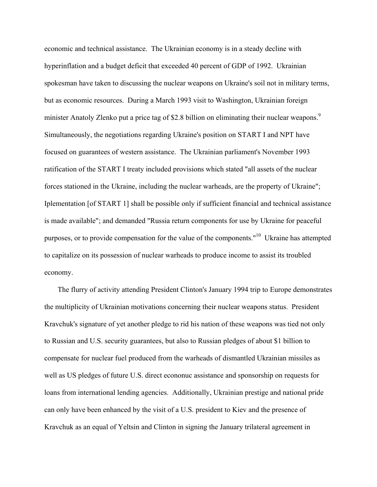economic and technical assistance. The Ukrainian economy is in a steady decline with hyperinflation and a budget deficit that exceeded 40 percent of GDP of 1992. Ukrainian spokesman have taken to discussing the nuclear weapons on Ukraine's soil not in military terms, but as economic resources. During a March 1993 visit to Washington, Ukrainian foreign minister Anatoly Zlenko put a price tag of \$2.8 billion on eliminating their nuclear weapons.<sup>9</sup> Simultaneously, the negotiations regarding Ukraine's position on START I and NPT have focused on guarantees of western assistance. The Ukrainian parliament's November 1993 ratification of the START I treaty included provisions which stated "all assets of the nuclear forces stationed in the Ukraine, including the nuclear warheads, are the property of Ukraine"; Iplementation [of START 1] shall be possible only if sufficient financial and technical assistance is made available"; and demanded "Russia return components for use by Ukraine for peaceful purposes, or to provide compensation for the value of the components."10 Ukraine has attempted to capitalize on its possession of nuclear warheads to produce income to assist its troubled economy.

The flurry of activity attending President Clinton's January 1994 trip to Europe demonstrates the multiplicity of Ukrainian motivations concerning their nuclear weapons status. President Kravchuk's signature of yet another pledge to rid his nation of these weapons was tied not only to Russian and U.S. security guarantees, but also to Russian pledges of about \$1 billion to compensate for nuclear fuel produced from the warheads of dismantled Ukrainian missiles as well as US pledges of future U.S. direct econonuc assistance and sponsorship on requests for loans from international lending agencies. Additionally, Ukrainian prestige and national pride can only have been enhanced by the visit of a U.S. president to Kiev and the presence of Kravchuk as an equal of Yeltsin and Clinton in signing the January trilateral agreement in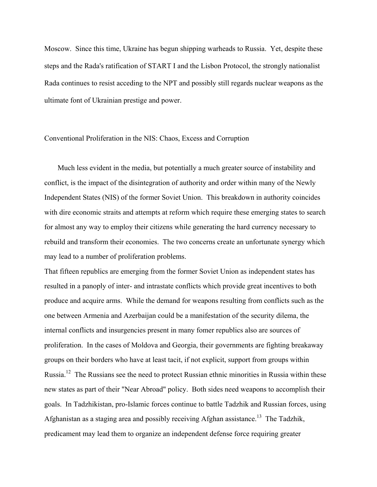Moscow. Since this time, Ukraine has begun shipping warheads to Russia. Yet, despite these steps and the Rada's ratification of START I and the Lisbon Protocol, the strongly nationalist Rada continues to resist acceding to the NPT and possibly still regards nuclear weapons as the ultimate font of Ukrainian prestige and power.

### Conventional Proliferation in the NIS: Chaos, Excess and Corruption

Much less evident in the media, but potentially a much greater source of instability and conflict, is the impact of the disintegration of authority and order within many of the Newly Independent States (NIS) of the former Soviet Union. This breakdown in authority coincides with dire economic straits and attempts at reform which require these emerging states to search for almost any way to employ their citizens while generating the hard currency necessary to rebuild and transform their economies. The two concerns create an unfortunate synergy which may lead to a number of proliferation problems.

That fifteen republics are emerging from the former Soviet Union as independent states has resulted in a panoply of inter- and intrastate conflicts which provide great incentives to both produce and acquire arms. While the demand for weapons resulting from conflicts such as the one between Armenia and Azerbaijan could be a manifestation of the security dilema, the internal conflicts and insurgencies present in many fomer republics also are sources of proliferation. In the cases of Moldova and Georgia, their governments are fighting breakaway groups on their borders who have at least tacit, if not explicit, support from groups within Russia.<sup>12</sup> The Russians see the need to protect Russian ethnic minorities in Russia within these new states as part of their "Near Abroad" policy. Both sides need weapons to accomplish their goals. In Tadzhikistan, pro-Islamic forces continue to battle Tadzhik and Russian forces, using Afghanistan as a staging area and possibly receiving Afghan assistance.<sup>13</sup> The Tadzhik, predicament may lead them to organize an independent defense force requiring greater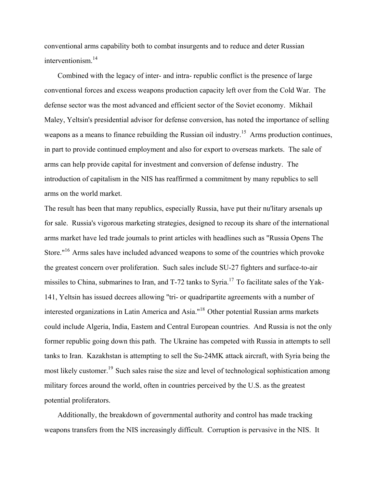conventional arms capability both to combat insurgents and to reduce and deter Russian interventionism.14

Combined with the legacy of inter- and intra- republic conflict is the presence of large conventional forces and excess weapons production capacity left over from the Cold War. The defense sector was the most advanced and efficient sector of the Soviet economy. Mikhail Maley, Yeltsin's presidential advisor for defense conversion, has noted the importance of selling weapons as a means to finance rebuilding the Russian oil industry.<sup>15</sup> Arms production continues, in part to provide continued employment and also for export to overseas markets. The sale of arms can help provide capital for investment and conversion of defense industry. The introduction of capitalism in the NIS has reaffirmed a commitment by many republics to sell arms on the world market.

The result has been that many republics, especially Russia, have put their nu'litary arsenals up for sale. Russia's vigorous marketing strategies, designed to recoup its share of the international arms market have led trade joumals to print articles with headlines such as "Russia Opens The Store."16 Arms sales have included advanced weapons to some of the countries which provoke the greatest concern over proliferation. Such sales include SU-27 fighters and surface-to-air missiles to China, submarines to Iran, and  $T-72$  tanks to Syria.<sup>17</sup> To facilitate sales of the Yak-141, Yeltsin has issued decrees allowing "tri- or quadripartite agreements with a number of interested organizations in Latin America and Asia."18 Other potential Russian arms markets could include Algeria, India, Eastem and Central European countries. And Russia is not the only former republic going down this path. The Ukraine has competed with Russia in attempts to sell tanks to Iran. Kazakhstan is attempting to sell the Su-24MK attack aircraft, with Syria being the most likely customer.<sup>19</sup> Such sales raise the size and level of technological sophistication among military forces around the world, often in countries perceived by the U.S. as the greatest potential proliferators.

Additionally, the breakdown of governmental authority and control has made tracking weapons transfers from the NIS increasingly difficult. Corruption is pervasive in the NIS. It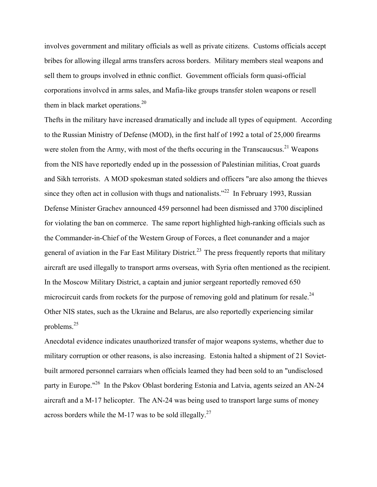involves government and military officials as well as private citizens. Customs officials accept bribes for allowing illegal arms transfers across borders. Military members steal weapons and sell them to groups involved in ethnic conflict. Govemment officials form quasi-official corporations involvcd in arms sales, and Mafia-like groups transfer stolen weapons or resell them in black market operations.<sup>20</sup>

Thefts in the military have increased dramatically and include all types of equipment. According to the Russian Ministry of Defense (MOD), in the first half of 1992 a total of 25,000 firearms were stolen from the Army, with most of the thefts occuring in the Transcaucsus.<sup>21</sup> Weapons from the NIS have reportedly ended up in the possession of Palestinian militias, Croat guards and Sikh terrorists. A MOD spokesman stated soldiers and officers "are also among the thieves since they often act in collusion with thugs and nationalists."<sup>22</sup> In February 1993, Russian Defense Minister Grachev announced 459 personnel had been dismissed and 3700 disciplined for violating the ban on commerce. The same report highlighted high-ranking officials such as the Commander-in-Chief of the Western Group of Forces, a fleet conunander and a major general of aviation in the Far East Military District.<sup>23</sup> The press frequently reports that military aircraft are used illegally to transport arms overseas, with Syria often mentioned as the recipient. In the Moscow Military District, a captain and junior sergeant reportedly removed 650 microcircuit cards from rockets for the purpose of removing gold and platinum for resale.<sup>24</sup> Other NIS states, such as the Ukraine and Belarus, are also reportedly experiencing similar problems.25

Anecdotal evidence indicates unauthorized transfer of major weapons systems, whether due to military corruption or other reasons, is also increasing. Estonia halted a shipment of 21 Sovietbuilt armored personnel carraiars when officials leamed they had been sold to an "undisclosed party in Europe."26 In the Pskov Oblast bordering Estonia and Latvia, agents seized an AN-24 aircraft and a M-17 helicopter. The AN-24 was being used to transport large sums of money across borders while the M-17 was to be sold illegally.<sup>27</sup>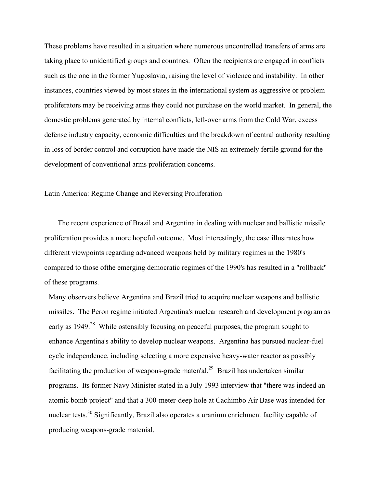These problems have resulted in a situation where numerous uncontrolled transfers of arms are taking place to unidentified groups and countnes. Often the recipients are engaged in conflicts such as the one in the former Yugoslavia, raising the level of violence and instability. In other instances, countries viewed by most states in the international system as aggressive or problem proliferators may be receiving arms they could not purchase on the world market. In general, the domestic problems generated by intemal conflicts, left-over arms from the Cold War, excess defense industry capacity, economic difficulties and the breakdown of central authority resulting in loss of border control and corruption have made the NIS an extremely fertile ground for the development of conventional arms proliferation concems.

Latin America: Regime Change and Reversing Proliferation

The recent experience of Brazil and Argentina in dealing with nuclear and ballistic missile proliferation provides a more hopeful outcome. Most interestingly, the case illustrates how different viewpoints regarding advanced weapons held by military regimes in the 1980's compared to those ofthe emerging democratic regimes of the 1990's has resulted in a "rollback" of these programs.

Many observers believe Argentina and Brazil tried to acquire nuclear weapons and ballistic missiles. The Peron regime initiated Argentina's nuclear research and development program as early as 1949.<sup>28</sup> While ostensibly focusing on peaceful purposes, the program sought to enhance Argentina's ability to develop nuclear weapons. Argentina has pursued nuclear-fuel cycle independence, including selecting a more expensive heavy-water reactor as possibly facilitating the production of weapons-grade maten'al.<sup>29</sup> Brazil has undertaken similar programs. Its former Navy Minister stated in a July 1993 interview that "there was indeed an atomic bomb project" and that a 300-meter-deep hole at Cachimbo Air Base was intended for nuclear tests.<sup>30</sup> Significantly, Brazil also operates a uranium enrichment facility capable of producing weapons-grade matenial.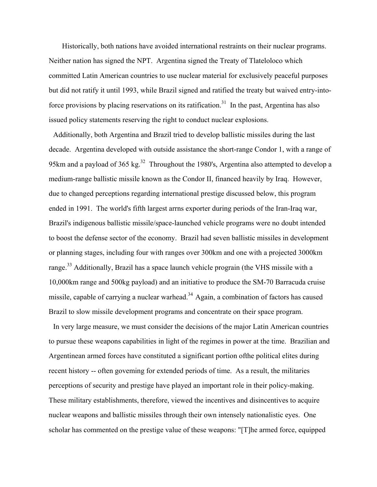Historically, both nations have avoided international restraints on their nuclear programs. Neither nation has signed the NPT. Argentina signed the Treaty of Tlateloloco which committed Latin American countries to use nuclear material for exclusively peaceful purposes but did not ratify it until 1993, while Brazil signed and ratified the treaty but waived entry-intoforce provisions by placing reservations on its ratification.<sup>31</sup> In the past, Argentina has also issued policy statements reserving the right to conduct nuclear explosions.

Additionally, both Argentina and Brazil tried to develop ballistic missiles during the last decade. Argentina developed with outside assistance the short-range Condor 1, with a range of 95km and a payload of 365 kg.<sup>32</sup> Throughout the 1980's, Argentina also attempted to develop a medium-range ballistic missile known as the Condor II, financed heavily by Iraq. However, due to changed perceptions regarding international prestige discussed below, this program ended in 1991. The world's fifth largest arrns exporter during periods of the Iran-Iraq war, Brazil's indigenous ballistic missile/space-launched vehicle programs were no doubt intended to boost the defense sector of the economy. Brazil had seven ballistic missiles in development or planning stages, including four with ranges over 300km and one with a projected 3000km range.<sup>33</sup> Additionally, Brazil has a space launch vehicle prograin (the VHS missile with a 10,000km range and 500kg payload) and an initiative to produce the SM-70 Barracuda cruise missile, capable of carrying a nuclear warhead.<sup>34</sup> Again, a combination of factors has caused Brazil to slow missile development programs and concentrate on their space program.

In very large measure, we must consider the decisions of the major Latin American countries to pursue these weapons capabilities in light of the regimes in power at the time. Brazilian and Argentinean armed forces have constituted a significant portion ofthe political elites during recent history -- often goveming for extended periods of time. As a result, the militaries perceptions of security and prestige have played an important role in their policy-making. These military establishments, therefore, viewed the incentives and disincentives to acquire nuclear weapons and ballistic missiles through their own intensely nationalistic eyes. One scholar has commented on the prestige value of these weapons: "[T]he armed force, equipped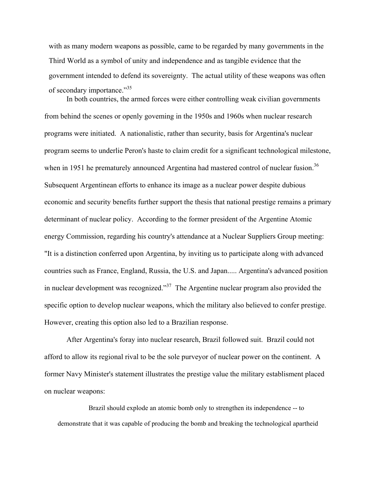with as many modern weapons as possible, came to be regarded by many governments in the Third World as a symbol of unity and independence and as tangible evidence that the government intended to defend its sovereignty. The actual utility of these weapons was often of secondary importance."35

 In both countries, the armed forces were either controlling weak civilian governments from behind the scenes or openly goveming in the 1950s and 1960s when nuclear research programs were initiated. A nationalistic, rather than security, basis for Argentina's nuclear program seems to underlie Peron's haste to claim credit for a significant technological milestone, when in 1951 he prematurely announced Argentina had mastered control of nuclear fusion.<sup>36</sup> Subsequent Argentinean efforts to enhance its image as a nuclear power despite dubious economic and security benefits further support the thesis that national prestige remains a primary determinant of nuclear policy. According to the former president of the Argentine Atomic energy Commission, regarding his country's attendance at a Nuclear Suppliers Group meeting: "It is a distinction conferred upon Argentina, by inviting us to participate along with advanced countries such as France, England, Russia, the U.S. and Japan..... Argentina's advanced position in nuclear development was recognized."<sup>37</sup> The Argentine nuclear program also provided the specific option to develop nuclear weapons, which the military also believed to confer prestige. However, creating this option also led to a Brazilian response.

 After Argentina's foray into nuclear research, Brazil followed suit. Brazil could not afford to allow its regional rival to be the sole purveyor of nuclear power on the continent. A former Navy Minister's statement illustrates the prestige value the military establisment placed on nuclear weapons:

 Brazil should explode an atomic bomb only to strengthen its independence -- to demonstrate that it was capable of producing the bomb and breaking the technological apartheid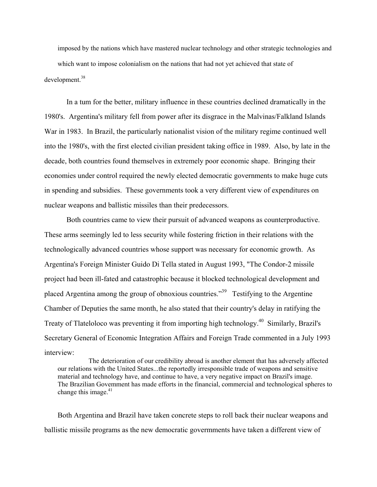imposed by the nations which have mastered nuclear technology and other strategic technologies and which want to impose colonialism on the nations that had not yet achieved that state of development.<sup>38</sup>

 In a tum for the better, military influence in these countries declined dramatically in the 1980's. Argentina's military fell from power after its disgrace in the Malvinas/Falkland Islands War in 1983. In Brazil, the particularly nationalist vision of the military regime continued well into the 1980's, with the first elected civilian president taking office in 1989. Also, by late in the decade, both countries found themselves in extremely poor economic shape. Bringing their economies under control required the newly elected democratic governments to make huge cuts in spending and subsidies. These governments took a very different view of expenditures on nuclear weapons and ballistic missiles than their predecessors.

 Both countries came to view their pursuit of advanced weapons as counterproductive. These arms seemingly led to less security while fostering friction in their relations with the technologically advanced countries whose support was necessary for economic growth. As Argentina's Foreign Minister Guido Di Tella stated in August 1993, "The Condor-2 missile project had been ill-fated and catastrophic because it blocked technological development and placed Argentina among the group of obnoxious countries."39 Testifying to the Argentine Chamber of Deputies the same month, he also stated that their country's delay in ratifying the Treaty of Tlateloloco was preventing it from importing high technology.<sup>40</sup> Similarly, Brazil's Secretary General of Economic Integration Affairs and Foreign Trade commented in a July 1993 interview:

 The deterioration of our credibility abroad is another element that has adversely affected our relations with the United States...the reportedly irresponsible trade of weapons and sensitive material and technology have, and continue to have, a very negative impact on Brazil's image. The Brazilian Govemment has made efforts in the financial, commercial and technological spheres to change this image. $41$ 

Both Argentina and Brazil have taken concrete steps to roll back their nuclear weapons and ballistic missile programs as the new democratic govermments have taken a different view of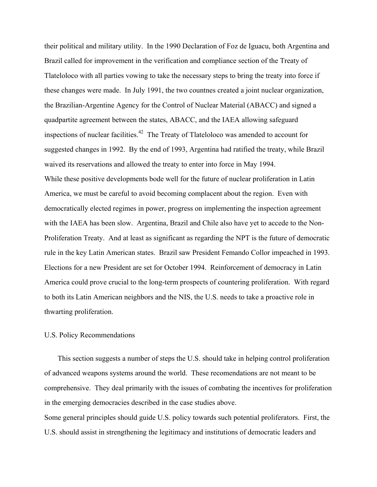their political and military utility. In the 1990 Declaration of Foz de Iguacu, both Argentina and Brazil called for improvement in the verification and compliance section of the Treaty of Tlateloloco with all parties vowing to take the necessary steps to bring the treaty into force if these changes were made. In July 1991, the two countnes created a joint nuclear organization, the Brazilian-Argentine Agency for the Control of Nuclear Material (ABACC) and signed a quadpartite agreement between the states, ABACC, and the IAEA allowing safeguard inspections of nuclear facilities.<sup>42</sup> The Treaty of Tlateloloco was amended to account for suggested changes in 1992. By the end of 1993, Argentina had ratified the treaty, while Brazil waived its reservations and allowed the treaty to enter into force in May 1994. While these positive developments bode well for the future of nuclear proliferation in Latin America, we must be careful to avoid becoming complacent about the region. Even with democratically elected regimes in power, progress on implementing the inspection agreement with the IAEA has been slow. Argentina, Brazil and Chile also have yet to accede to the Non-Proliferation Treaty. And at least as significant as regarding the NPT is the future of democratic rule in the key Latin American states. Brazil saw President Femando Collor impeached in 1993. Elections for a new President are set for October 1994. Reinforcement of democracy in Latin America could prove crucial to the long-term prospects of countering proliferation. With regard to both its Latin American neighbors and the NIS, the U.S. needs to take a proactive role in thwarting proliferation.

### U.S. Policy Recommendations

This section suggests a number of steps the U.S. should take in helping control proliferation of advanced weapons systems around the world. These recomendations are not meant to be comprehensive. They deal primarily with the issues of combating the incentives for proliferation in the emerging democracies described in the case studies above. Some general principles should guide U.S. policy towards such potential proliferators. First, the

U.S. should assist in strengthening the legitimacy and institutions of democratic leaders and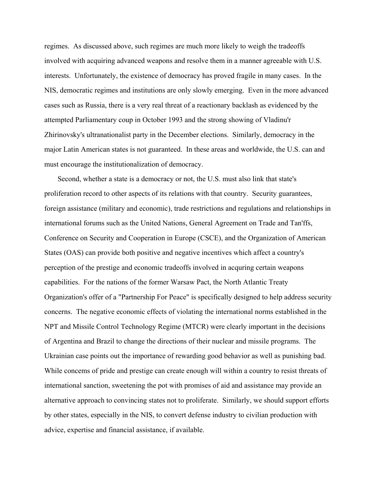regimes. As discussed above, such regimes are much more likely to weigh the tradeoffs involved with acquiring advanced weapons and resolve them in a manner agreeable with U.S. interests. Unfortunately, the existence of democracy has proved fragile in many cases. In the NIS, democratic regimes and institutions are only slowly emerging. Even in the more advanced cases such as Russia, there is a very real threat of a reactionary backlash as evidenced by the attempted Parliamentary coup in October 1993 and the strong showing of Vladinu'r Zhirinovsky's ultranationalist party in the December elections. Similarly, democracy in the major Latin American states is not guaranteed. In these areas and worldwide, the U.S. can and must encourage the institutionalization of democracy.

Second, whether a state is a democracy or not, the U.S. must also link that state's proliferation record to other aspects of its relations with that country. Security guarantees, foreign assistance (military and economic), trade restrictions and regulations and relationships in international forums such as the United Nations, General Agreement on Trade and Tan'ffs, Conference on Security and Cooperation in Europe (CSCE), and the Organization of American States (OAS) can provide both positive and negative incentives which affect a country's perception of the prestige and economic tradeoffs involved in acquring certain weapons capabilities. For the nations of the former Warsaw Pact, the North Atlantic Treaty Organization's offer of a "Partnership For Peace" is specifically designed to help address security concerns. The negative economic effects of violating the international norms established in the NPT and Missile Control Technology Regime (MTCR) were clearly important in the decisions of Argentina and Brazil to change the directions of their nuclear and missile programs. The Ukrainian case points out the importance of rewarding good behavior as well as punishing bad. While concems of pride and prestige can create enough will within a country to resist threats of international sanction, sweetening the pot with promises of aid and assistance may provide an alternative approach to convincing states not to proliferate. Similarly, we should support efforts by other states, especially in the NIS, to convert defense industry to civilian production with advice, expertise and financial assistance, if available.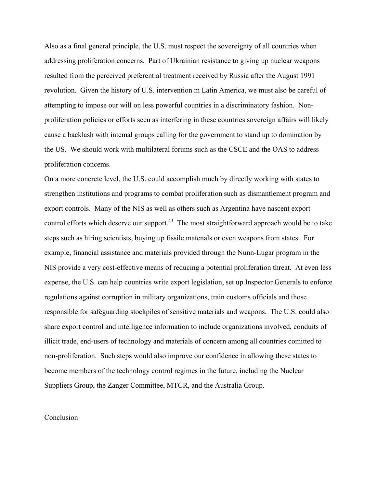Also as a final general principle, the U.S. must respect the sovereignty of all countries when addressing proliferation concerns. Part of Ukrainian resistance to giving up nuclear weapons resulted from the perceived preferential treatment received by Russia after the August 1991 revolution. Given the history of U.S. intervention m Latin America, we must also be careful of attempting to impose our will on less powerful countries in a discriminatory fashion. Nonproliferation policies or efforts seen as interfering in these countries sovereign affairs will likely cause a backlash with intemal groups calling for the government to stand up to domination by the US. We should work with multilateral forums such as the CSCE and the OAS to address proliferation concems.

On a more concrete level, the U.S. could accomplish much by directly working with states to strengthen institutions and programs to combat proliferation such as dismantlement program and export controls. Many of the NIS as well as others such as Argentina have nascent export control efforts which deserve our support.<sup>43</sup> The most straightforward approach would be to take steps such as hiring scientists, buying up fissile matenals or even weapons from states. For example, financial assistance and materials provided through the Nunn-Lugar program in the NIS provide a very cost-effective means of reducing a potential proliferation threat. At even less expense, the U.S. can help countries write export legislation, set up Inspector Generals to enforce regulations against corruption in military organizations, train customs officials and those responsible for safeguarding stockpiles of sensitive materials and weapons. The U.S. could also share export control and intelligence information to include organizations involved, conduits of illicit trade, end-users of technology and materials of concern among all countries comitted to non-proliferation. Such steps would also improve our confidence in allowing these states to become members of the technology control regimes in the future, including the Nuclear Suppliers Group, the Zanger Committee, MTCR, and the Australia Group.

### Conclusion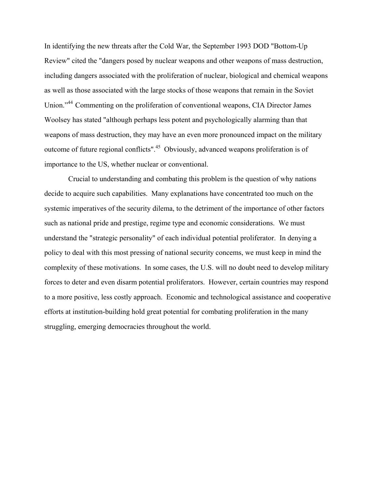In identifying the new threats after the Cold War, the September 1993 DOD "Bottom-Up Review" cited the "dangers posed by nuclear weapons and other weapons of mass destruction, including dangers associated with the proliferation of nuclear, biological and chemical weapons as well as those associated with the large stocks of those weapons that remain in the Soviet Union."<sup>44</sup> Commenting on the proliferation of conventional weapons, CIA Director James Woolsey has stated "although perhaps less potent and psychologically alarming than that weapons of mass destruction, they may have an even more pronounced impact on the military outcome of future regional conflicts".45 Obviously, advanced weapons proliferation is of importance to the US, whether nuclear or conventional.

 Crucial to understanding and combating this problem is the question of why nations decide to acquire such capabilities. Many explanations have concentrated too much on the systemic imperatives of the security dilema, to the detriment of the importance of other factors such as national pride and prestige, regime type and economic considerations. We must understand the "strategic personality" of each individual potential proliferator. In denying a policy to deal with this most pressing of national security concems, we must keep in mind the complexity of these motivations. In some cases, the U.S. will no doubt need to develop military forces to deter and even disarm potential proliferators. However, certain countries may respond to a more positive, less costly approach. Economic and technological assistance and cooperative efforts at institution-building hold great potential for combating proliferation in the many struggling, emerging democracies throughout the world.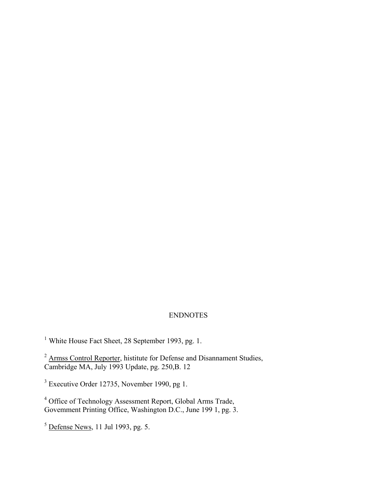## ENDNOTES

<sup>1</sup> White House Fact Sheet, 28 September 1993, pg. 1.

 $2 \text{ *ArmsS Control Reporter*, Institute for Defense and Disannament Studies,$ Cambridge MA, July 1993 Update, pg. 250,B. 12

 $3$  Executive Order 12735, November 1990, pg 1.

<sup>4</sup> Office of Technology Assessment Report, Global Arms Trade, Govemment Printing Office, Washington D.C., June 199 1, pg. 3.

 $<sup>5</sup>$  <u>Defense News</u>, 11 Jul 1993, pg. 5.</sup>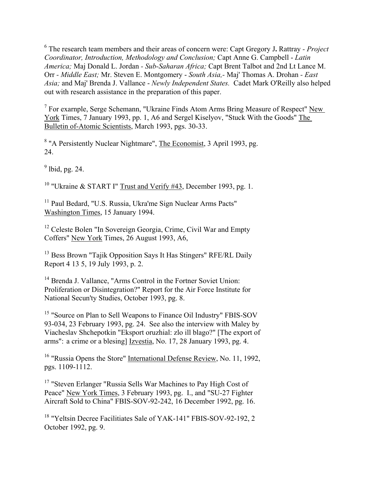6 The research team members and their areas of concern were: Capt Gregory J**.** Rattray *- Project Coordinator, Introduction, Methodology and Conclusion;* Capt Anne G. Campbell - *Latin America;* Maj Donald L. Jordan *- Sub-Saharan Africa;* Capt Brent Talbot and 2nd Lt Lance M. Orr *- Middle East;* Mr. Steven E. Montgomery - *South Asia,-* Maj' Thomas A. Drohan *- East Asia;* and Maj' Brenda J. Vallance - *Newly Independent States.* Cadet Mark O'Reilly also helped out with research assistance in the preparation of this paper.

 $7$  For exarnple, Serge Schemann, "Ukraine Finds Atom Arms Bring Measure of Respect" New York Times, 7 January 1993, pp. 1, A6 and Sergel Kiselyov, "Stuck With the Goods" The Bulletin of-Atomic Scientists, March 1993, pgs. 30-33.

<sup>8</sup> "A Persistently Nuclear Nightmare", The Economist, 3 April 1993, pg. 24.

 $<sup>9</sup>$  lbid, pg. 24.</sup>

<sup>10</sup> "Ukraine & START I" Trust and Verify  $#43$ , December 1993, pg. 1.

<sup>11</sup> Paul Bedard, "U.S. Russia, Ukra'me Sign Nuclear Arms Pacts" Washington Times, 15 January 1994.

<sup>12</sup> Celeste Bolen "In Sovereign Georgia, Crime, Civil War and Empty Coffers" New York Times, 26 August 1993, A6,

<sup>13</sup> Bess Brown "Tajik Opposition Says It Has Stingers" RFE/RL Daily Report 4 13 5, 19 July 1993, p. 2.

<sup>14</sup> Brenda J. Vallance, "Arms Control in the Fortner Soviet Union: Proliferation or Disintegration?" Report for the Air Force Institute for National Secun'ty Studies, October 1993, pg. 8.

<sup>15</sup> "Source on Plan to Sell Weapons to Finance Oil Industry" FBIS-SOV 93-034, 23 February 1993, pg. 24. See also the interview with Maley by Viacheslav Shchepotkin "Eksport oruzhial: zlo ill blago?" [The export of arms": a crime or a blesing] Izvestia, No. 17, 28 January 1993, pg. 4.

<sup>16</sup> "Russia Opens the Store" International Defense Review, No. 11, 1992, pgs. 1109-1112.

<sup>17</sup> "Steven Erlanger "Russia Sells War Machines to Pay High Cost of Peace" New York Times, 3 February 1993, pg. I., and "SU-27 Fighter Aircraft Sold to China" FBIS-SOV-92-242, 16 December 1992, pg. 16.

<sup>18</sup> "Yeltsin Decree Facilitiates Sale of YAK-141" FBIS-SOV-92-192, 2 October 1992, pg. 9.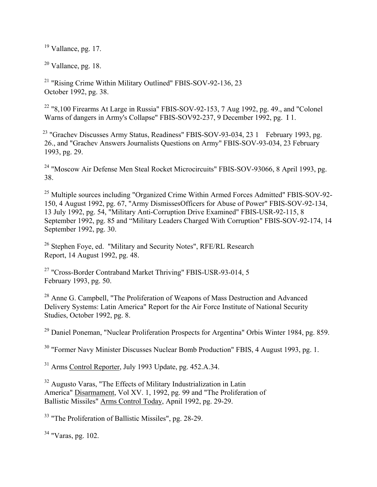$19$  Vallance, pg. 17.

 $20$  Vallance, pg. 18.

<sup>21</sup> "Rising Crime Within Military Outlined" FBIS-SOV-92-136, 23 October 1992, pg. 38.

<sup>22</sup> "8,100 Firearms At Large in Russia" FBIS-SOV-92-153, 7 Aug 1992, pg. 49., and "Colonel Warns of dangers in Army's Collapse" FBIS-SOV92-237, 9 December 1992, pg. I 1.

<sup>23</sup> "Grachev Discusses Army Status, Readiness" FBIS-SOV-93-034, 23 1 February 1993, pg. 26., and "Grachev Answers Journalists Questions on Army" FBIS-SOV-93-034, 23 February 1993, pg. 29.

<sup>24</sup> "Moscow Air Defense Men Steal Rocket Microcircuits" FBIS-SOV-93066, 8 April 1993, pg. 38.

<sup>25</sup> Multiple sources including "Organized Crime Within Armed Forces Admitted" FBIS-SOV-92-150, 4 August 1992, pg. 67, "Army DismissesOfficers for Abuse of Power" FBIS-SOV-92-134, 13 July 1992, pg. 54, "Military Anti-Corruption Drive Examined" FBIS-USR-92-115, 8 September 1992, pg. 85 and "Military Leaders Charged With Corruption" FBIS-SOV-92-174, 14 September 1992, pg. 30.

<sup>26</sup> Stephen Foye, ed. "Military and Security Notes", RFE/RL Research Report, 14 August 1992, pg. 48.

<sup>27</sup> "Cross-Border Contraband Market Thriving" FBIS-USR-93-014, 5 February 1993, pg. 50.

<sup>28</sup> Anne G. Campbell, "The Proliferation of Weapons of Mass Destruction and Advanced Delivery Systems: Latin America" Report for the Air Force Institute of National Security Studies, October 1992, pg. 8.

 $29$  Daniel Poneman, "Nuclear Proliferation Prospects for Argentina" Orbis Winter 1984, pg. 859.

<sup>30</sup> "Former Navy Minister Discusses Nuclear Bomb Production" FBIS, 4 August 1993, pg. 1.

<sup>31</sup> Arms Control Reporter, July 1993 Update, pg. 452.A.34.

<sup>32</sup> Augusto Varas, "The Effects of Military Industrialization in Latin America" Disarmament, Vol XV. 1, 1992, pg. 99 and "The Proliferation of Ballistic Missiles" Arms Control Today, Apnil 1992, pg. 29-29.

<sup>33</sup> "The Proliferation of Ballistic Missiles", pg. 28-29.

 $34$  "Varas, pg. 102.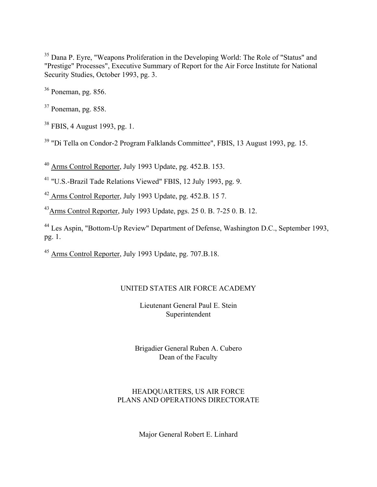<sup>35</sup> Dana P. Eyre, "Weapons Proliferation in the Developing World: The Role of "Status" and "Prestige" Processes", Executive Summary of Report for the Air Force Institute for National Security Studies, October 1993, pg. 3.

36 Poneman, pg. 856.

37 Poneman, pg. 858.

38 FBIS, 4 August 1993, pg. 1.

39 "Di Tella on Condor-2 Program Falklands Committee", FBIS, 13 August 1993, pg. 15.

40 Arms Control Reporter, July 1993 Update, pg. 452.B. 153.

41 "U.S.-Brazil Tade Relations Viewed" FBIS, 12 July 1993, pg. 9.

42 Arms Control Reporter, July 1993 Update, pg. 452.B. 15 7.

43Arms Control Reporter, July 1993 Update, pgs. 25 0. B. 7-25 0. B. 12.

44 Les Aspin, "Bottom-Up Review" Department of Defense, Washington D.C., September 1993, pg. 1.

45 Arms Control Reporter, July 1993 Update, pg. 707.B.18.

## UNITED STATES AIR FORCE ACADEMY

Lieutenant General Paul E. Stein Superintendent

Brigadier General Ruben A. Cubero Dean of the Faculty

# HEADQUARTERS, US AIR FORCE PLANS AND OPERATIONS DIRECTORATE

Major General Robert E. Linhard